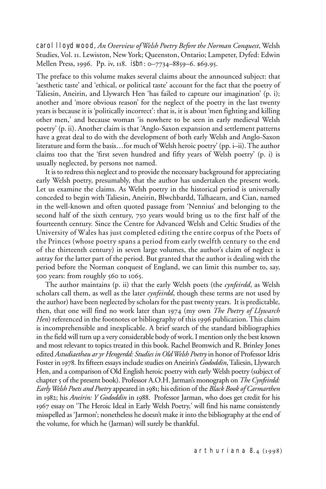carol lloyd wood*, An Overview of Welsh Poetry Before the Norman Conquest*, Welsh Studies, Vol. 11. Lewiston, New York; Queenston, Ontario; Lampeter, Dyfed: Edwin Mellen Press, 1996. Pp. iv, 118. isbn: 0–7734–8859–6. \$69.95.

The preface to this volume makes several claims about the announced subject: that 'aesthetic taste' and 'ethical, or political taste' account for the fact that the poetry of Taliesin, Aneirin, and Llywarch Hen 'has failed to capture our imagination' (p. i); another and 'more obvious reason' for the neglect of the poetry in the last twenty years is because it is 'politically incorrect': that is, it is about 'men fighting and killing other men,' and because woman 'is nowhere to be seen in early medieval Welsh poetry' (p. ii). Another claim is that 'Anglo-Saxon expansion and settlement patterns have a great deal to do with the development of both early Welsh and Anglo-Saxon literature and form the basis…for much of Welsh heroic poetry' (pp. i–ii). The author claims too that the 'first seven hundred and fifty years of Welsh poetry' (p. i) is usually neglected, by persons not named.

It is to redress this neglect and to provide the necessary background for appreciating early Welsh poetry, presumably, that the author has undertaken the present work. Let us examine the claims. As Welsh poetry in the historical period is universally conceded to begin with Taliesin, Aneirin, Blwchbardd, Talhaearn, and Cian, named in the well-known and often quoted passage from 'Nennius' and belonging to the second half of the sixth century, 750 years would bring us to the first half of the fourteenth century. Since the Centre for Advanced Welsh and Celtic Studies of the University of Wales has just completed editing the entire corpus of the Poets of the Princes (whose poetry spans a period from early twelfth century to the end of the thirteenth century) in seven large volumes, the author's claim of neglect is astray for the latter part of the period. But granted that the author is dealing with the period before the Norman conquest of England, we can limit this number to, say, 500 years: from roughly 560 to 1065.

The author maintains (p. ii) that the early Welsh poets (the *cynfeirdd*, as Welsh scholars call them, as well as the later *cynfeirdd*, though these terms are not used by the author) have been neglected by scholars for the past twenty years. It is predictable, then, that one will find no work later than 1974 (my own *The Poetry of Llywarch Hen*) referenced in the footnotes or bibliography of this 1996 publication. This claim is incomprehensible and inexplicable. A brief search of the standard bibliographies in the field will turn up a very considerable body of work. I mention only the best known and most relevant to topics treated in this book. Rachel Bromwich and R. Brinley Jones edited *Astudiaethau ar yr Hengerdd: Studies in Old Welsh Poetry* in honor of Professor Idris Foster in 1978. Its fifteen essays include studies on Aneirin's *Gododdin*, Taliesin, Llywarch Hen, and a comparison of Old English heroic poetry with early Welsh poetry (subject of chapter 5 of the present book). Professor A.O.H. Jarman's monograph on *The Cynfeirdd: Early Welsh Poets and Poetry* appeared in 1981; his edition of the *Black Book of Carmarthen* in 1982; his *Aneirin: Y Gododdin* in 1988. Professor Jarman, who does get credit for his 1967 essay on 'The Heroic Ideal in Early Welsh Poetry,' will find his name consistently misspelled as 'Jarmon'; nonetheless he doesn't make it into the bibliography at the end of the volume, for which he (Jarman) will surely be thankful.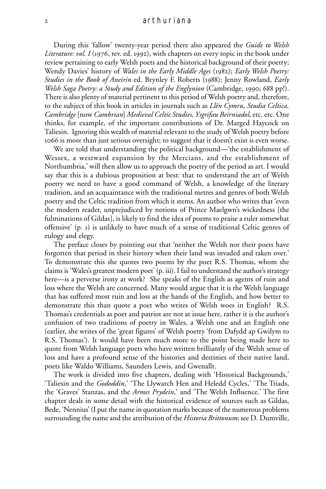During this 'fallow' twenty-year period there also appeared the *Guide to Welsh Literature: vol. I* (1976, rev. ed. 1992), with chapters on every topic in the book under review pertaining to early Welsh poets and the historical background of their poetry; Wendy Davies' history of *Wales in the Early Middle Ages* (1982); *Early Welsh Poetry: Studies in the Book of Aneirin* ed. Brynley F. Roberts (1988); Jenny Rowland, *Early Welsh Saga Poetry: a Study and Edition of the Englynion* (Cambridge, 1990; 688 pp!). There is also plenty of material pertinent to this period of Welsh poetry and, therefore, to the subject of this book in articles in journals such as *Llên Cymru, Studia Celtica, Cambridge* [now *Cambrian*] *Medieval Celtic Studies, Ysgrifau Beirniadol*, etc. etc. One thinks, for example, of the important contributions of Dr. Marged Haycock on Taliesin. Ignoring this wealth of material relevant to the study of Welsh poetry before 1066 is more than just serious oversight; to suggest that it doesn't exist is even worse.

We are told that understanding the political background—'the establishment of Wessex, a westward expansion by the Mercians, and the establishment of Northumbria,' will then allow us to approach the poetry of the period as art. I would say that this is a dubious proposition at best: that to understand the art of Welsh poetry we need to have a good command of Welsh, a knowledge of the literary tradition, and an acquaintance with the traditional metres and genres of both Welsh poetry and the Celtic tradition from which it stems. An author who writes that 'even the modern reader, unprejudiced by notions of Prince Maelgwn's wickedness [the fulminations of Gildas], is likely to find the idea of poems to praise a ruler somewhat offensive' (p. 1) is unlikely to have much of a sense of traditional Celtic genres of eulogy and elegy.

The preface closes by pointing out that 'neither the Welsh nor their poets have forgotten that period in their history when their land was invaded and taken over.' To demonstrate this she quotes two poems by the poet R.S. Thomas, whom she claims is 'Wales's greatest modern poet' (p. iii). I fail to understand the author's strategy here—is a perverse irony at work? She speaks of the English as agents of ruin and loss where the Welsh are concerned. Many would argue that it is the Welsh language that has suffered most ruin and loss at the hands of the English, and how better to demonstrate this than quote a poet who writes of Welsh woes in English? R.S. Thomas's credentials as poet and patriot are not at issue here, rather it is the author's confusion of two traditions of poetry in Wales, a Welsh one and an English one (earlier, she writes of the 'great figures' of Welsh poetry 'from Dafydd ap Gwilym to R.S. Thomas'). It would have been much more to the point being made here to quote from Welsh language poets who have written brilliantly of the Welsh sense of loss and have a profound sense of the histories and destinies of their native land, poets like Waldo Williams, Saunders Lewis, and Gwenallt.

The work is divided into five chapters, dealing with 'Historical Backgrounds,' 'Taliesin and the *Gododdin*,' 'The Llywarch Hen and Heledd Cycles,' 'The Triads, the 'Graves' Stanzas, and the *Armes Prydein*,' and 'The Welsh Influence.' The first chapter deals in some detail with the historical evidence of sources such as Gildas, Bede, 'Nennius' (I put the name in quotation marks because of the numerous problems surrounding the name and the attribution of the *Historia Brittonum*; see D. Dumville,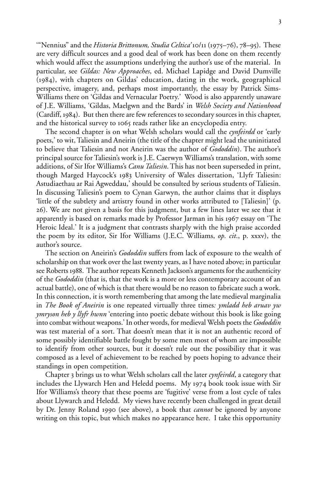'"Nennius" and the *Historia Brittonum, Studia Celtica'* 10/11 (1975–76), 78–95). These are very difficult sources and a good deal of work has been done on them recently which would affect the assumptions underlying the author's use of the material. In particular, see *Gildas: New Approaches*, ed. Michael Lapidge and David Dumville (1984), with chapters on Gildas' education, dating in the work, geographical perspective, imagery, and, perhaps most importantly, the essay by Patrick Sims-Williams there on 'Gildas and Vernacular Poetry.' Wood is also apparently unaware of J.E. Williams, 'Gildas, Maelgwn and the Bards' in *Welsh Society and Nationhood* (Cardiff, 1984). But then there are few references to secondary sources in this chapter, and the historical survey to 1065 reads rather like an encyclopedia entry.

The second chapter is on what Welsh scholars would call the *cynfeirdd* or 'early poets,' to wit, Taliesin and Aneirin (the title of the chapter might lead the uninitiated to believe that Taliesin and not Aneirin was the author of *Gododdin*). The author's principal source for Taliesin's work is J.E. Caerwyn Williams's translation, with some additions, of Sir Ifor Williams's *Canu Taliesin*. This has not been superseded in print, though Marged Haycock's 1983 University of Wales dissertation, 'Llyfr Taliesin: Astudiaethau ar Rai Agweddau,' should be consulted by serious students of Taliesin. In discussing Taliesin's poem to Cynan Garwyn, the author claims that it displays 'little of the subtlety and artistry found in other works attributed to [Taliesin]' (p. 26). We are not given a basis for this judgment, but a few lines later we see that it apparently is based on remarks made by Professor Jarman in his 1967 essay on 'The Heroic Ideal.' It is a judgment that contrasts sharply with the high praise accorded the poem by its editor, Sir Ifor Williams (J.E.C. Williams, *op. cit*., p. xxxv), the author's source.

The section on Aneirin's *Gododdin* suffers from lack of exposure to the wealth of scholarship on that work over the last twenty years, as I have noted above; in particular see Roberts 1988. The author repeats Kenneth Jackson's arguments for the authenticity of the *Gododdin* (that is, that the work is a more or less contemporary account of an actual battle), one of which is that there would be no reason to fabricate such a work. In this connection, it is worth remembering that among the late medieval marginalia in *The Book of Aneirin* is one repeated virtually three times*: ymladd heb aruav yw ymryson heb y llyfr hwnn* 'entering into poetic debate without this book is like going into combat without weapons.' In other words, for medieval Welsh poets the *Gododdin* was test material of a sort. That doesn't mean that it is not an authentic record of some possibly identifiable battle fought by some men most of whom are impossible to identify from other sources, but it doesn't rule out the possibility that it was composed as a level of achievement to be reached by poets hoping to advance their standings in open competition.

Chapter 3 brings us to what Welsh scholars call the later *cynfeirdd*, a category that includes the Llywarch Hen and Heledd poems. My 1974 book took issue with Sir Ifor Williams's theory that these poems are 'fugitive' verse from a lost cycle of tales about Llywarch and Heledd. My views have recently been challenged in great detail by Dr. Jenny Roland 1990 (see above), a book that *cannot* be ignored by anyone writing on this topic, but which makes no appearance here. I take this opportunity